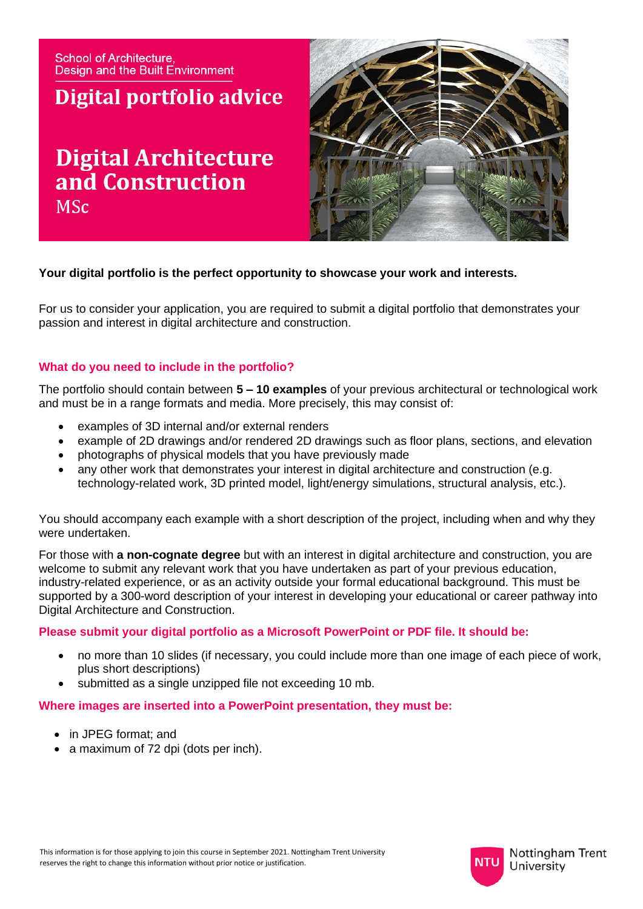**School of Architecture. Design and the Built Environment** 

# Digital portfolio advice

# **Digital Architecture** and Construction **MSc**



### **Your digital portfolio is the perfect opportunity to showcase your work and interests.**

For us to consider your application, you are required to submit a digital portfolio that demonstrates your passion and interest in digital architecture and construction.

### **What do you need to include in the portfolio?**

The portfolio should contain between **5 – 10 examples** of your previous architectural or technological work and must be in a range formats and media. More precisely, this may consist of:

- examples of 3D internal and/or external renders
- example of 2D drawings and/or rendered 2D drawings such as floor plans, sections, and elevation
- photographs of physical models that you have previously made
- any other work that demonstrates your interest in digital architecture and construction (e.g. technology-related work, 3D printed model, light/energy simulations, structural analysis, etc.).

You should accompany each example with a short description of the project, including when and why they were undertaken.

For those with **a non-cognate degree** but with an interest in digital architecture and construction, you are welcome to submit any relevant work that you have undertaken as part of your previous education, industry-related experience, or as an activity outside your formal educational background. This must be supported by a 300-word description of your interest in developing your educational or career pathway into Digital Architecture and Construction.

#### **Please submit your digital portfolio as a Microsoft PowerPoint or PDF file. It should be:**

- no more than 10 slides (if necessary, you could include more than one image of each piece of work, plus short descriptions)
- submitted as a single unzipped file not exceeding 10 mb.

#### **Where images are inserted into a PowerPoint presentation, they must be:**

- in JPEG format; and
- a maximum of 72 dpi (dots per inch).